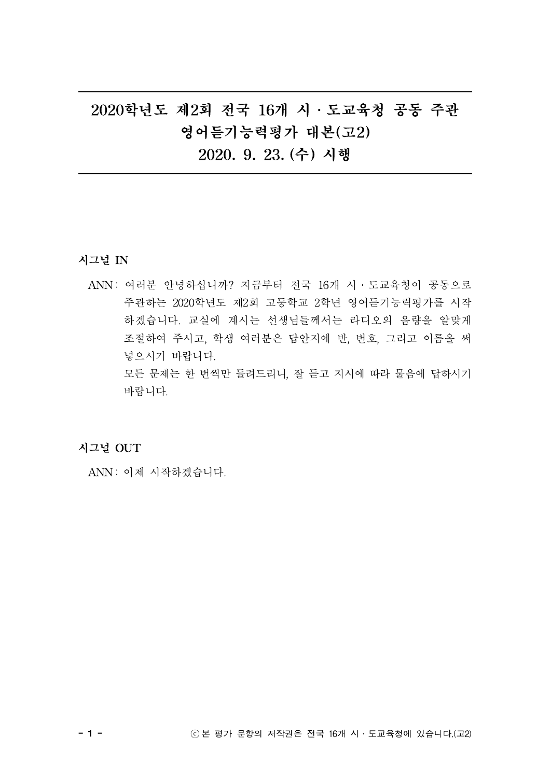# 2020학년도 제2회 전국 16개 시․도교육청 공동 주관 영어듣기능력평가 대본(고2) 2020. 9. 23. (수) 시행

시그널 IN

ANN : 여러분 안녕하십니까? 지금부터 전국 16개 시․도교육청이 공동으로 주관하는 2020학년도 제2회 고등학교 2학년 영어듣기능력평가를 시작 하겠습니다. 교실에 계시는 선생님들께서는 라디오의 음량을 알맞게 조절하여 주시고, 학생 여러분은 답안지에 반, 번호, 그리고 이름을 써 넣으시기 바랍니다. 모든 문제는 한 번씩만 들려드리니, 잘 듣고 지시에 따라 물음에 답하시기 바랍니다.

시그널 OUT

ANN : 이제 시작하겠습니다.

- 1 - ⓒ 본 평가 문항의 저작권은 전국 16개 시․도교육청에 있습니다.(고2)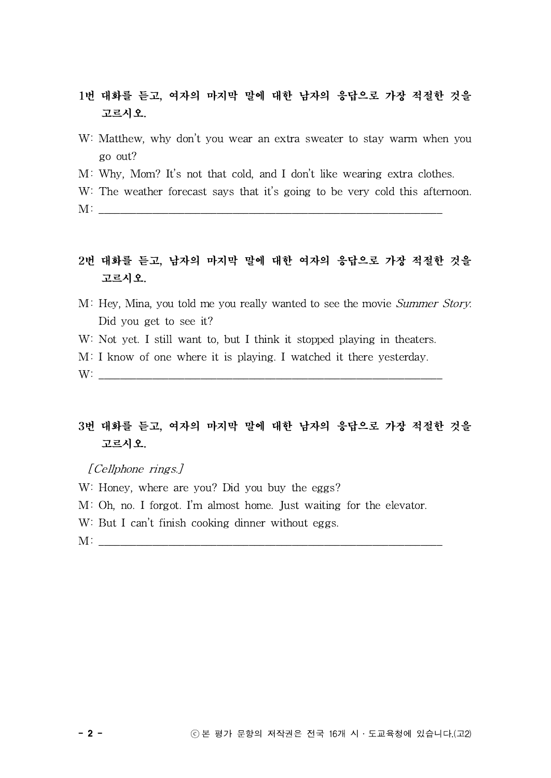- 1번 대화를 듣고, 여자의 마지막 말에 대한 남자의 응답으로 가장 적절한 것을 고르시오.
- W: Matthew, why don't you wear an extra sweater to stay warm when you go out?
- M: Why, Mom? It's not that cold, and I don't like wearing extra clothes.
- W: The weather forecast says that it's going to be very cold this afternoon.
- $M:$

## 2번 대화를 듣고, 남자의 마지막 말에 대한 여자의 응답으로 가장 적절한 것을 고르시오.

- M: Hey, Mina, you told me you really wanted to see the movie Summer Story. Did you get to see it?
- W: Not yet. I still want to, but I think it stopped playing in theaters.
- M: I know of one where it is playing. I watched it there yesterday.

 $W:$ 

# 3번 대화를 듣고, 여자의 마지막 말에 대한 남자의 응답으로 가장 적절한 것을 고르시오. 번 대화를 듣고, 여자의 <u>r</u><br>그르시오.<br>*[Cellphone rings.]*<br><sup>7: Honoy whore are you</sup>

- W: Honey, where are you? Did you buy the eggs?
- M: Oh, no. I forgot. I'm almost home. Just waiting for the elevator.
- W: But I can't finish cooking dinner without eggs.
- $M:$   $\Box$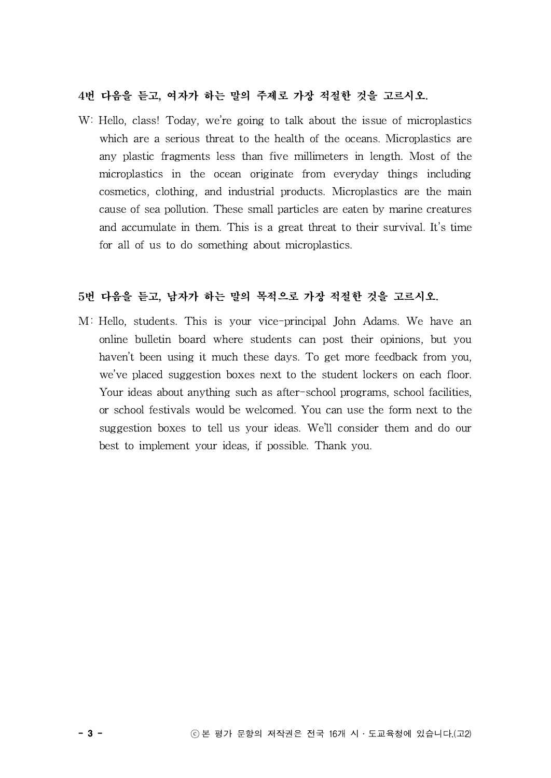#### 4번 다음을 듣고, 여자가 하는 말의 주제로 가장 적절한 것을 고르시오.

W: Hello, class! Today, we're going to talk about the issue of microplastics which are a serious threat to the health of the oceans. Microplastics are any plastic fragments less than five millimeters in length. Most of the microplastics in the ocean originate from everyday things including cosmetics, clothing, and industrial products. Microplastics are the main cause of sea pollution. These small particles are eaten by marine creatures and accumulate in them. This is a great threat to their survival. It's time for all of us to do something about microplastics.

#### 5번 다음을 듣고, 남자가 하는 말의 목적으로 가장 적절한 것을 고르시오.

M: Hello, students. This is your vice-principal John Adams. We have an online bulletin board where students can post their opinions, but you haven't been using it much these days. To get more feedback from you, we've placed suggestion boxes next to the student lockers on each floor. Your ideas about anything such as after-school programs, school facilities, or school festivals would be welcomed. You can use the form next to the suggestion boxes to tell us your ideas. We'll consider them and do our best to implement your ideas, if possible. Thank you.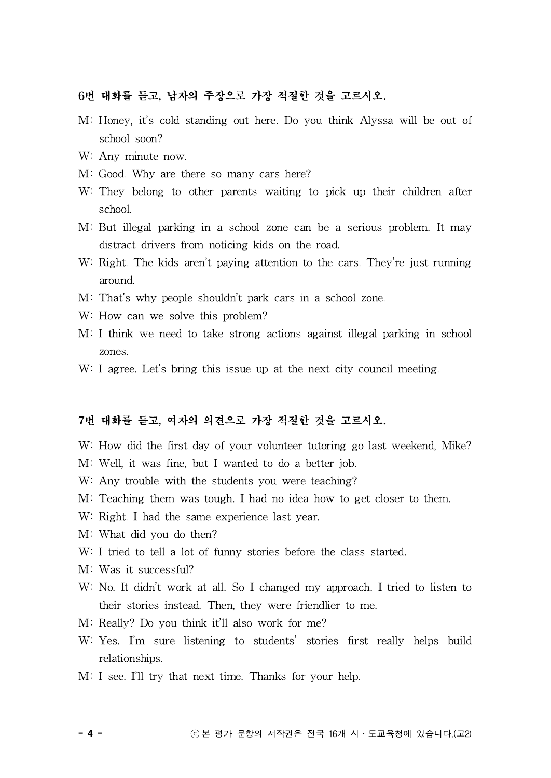#### 6번 대화를 듣고, 남자의 주장으로 가장 적절한 것을 고르시오.

- M: Honey, it's cold standing out here. Do you think Alyssa will be out of school soon?
- W: Any minute now.
- M: Good. Why are there so many cars here?
- W: They belong to other parents waiting to pick up their children after school.
- M: But illegal parking in a school zone can be a serious problem. It may distract drivers from noticing kids on the road.
- W: Right. The kids aren't paying attention to the cars. They're just running around.
- M: That's why people shouldn't park cars in a school zone.
- W: How can we solve this problem?
- M: I think we need to take strong actions against illegal parking in school zones.
- W: I agree. Let's bring this issue up at the next city council meeting.

#### 7번 대화를 듣고, 여자의 의견으로 가장 적절한 것을 고르시오.

- W: How did the first day of your volunteer tutoring go last weekend, Mike?
- M: Well, it was fine, but I wanted to do a better job.
- W: Any trouble with the students you were teaching?
- M: Teaching them was tough. I had no idea how to get closer to them.
- W: Right. I had the same experience last year.
- M: What did you do then?
- W: I tried to tell a lot of funny stories before the class started.
- M: Was it successful?
- W: No. It didn't work at all. So I changed my approach. I tried to listen to their stories instead. Then, they were friendlier to me.
- M: Really? Do you think it'll also work for me?
- W: Yes. I'm sure listening to students' stories first really helps build relationships.
- M: I see. I'll try that next time. Thanks for your help.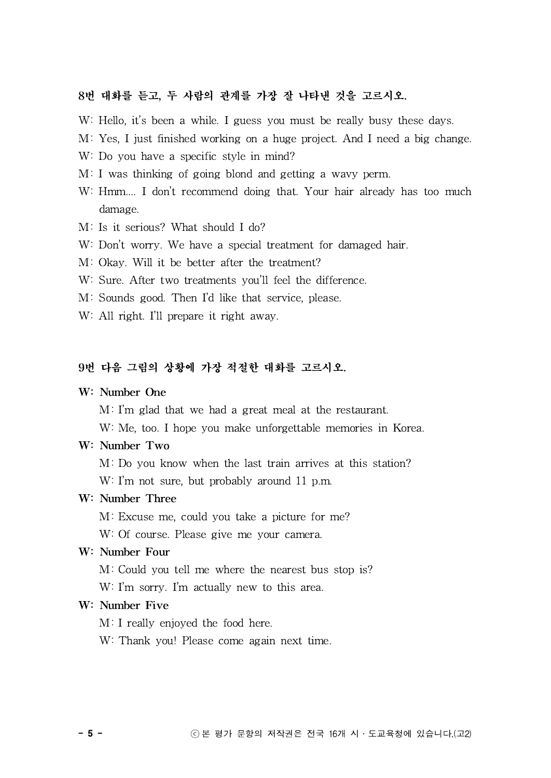#### 8번 대화를 듣고, 두 사람의 관계를 가장 잘 나타낸 것을 고르시오.

- W: Hello, it's been a while. I guess you must be really busy these days.
- M: Yes, I just finished working on a huge project. And I need a big change.
- W: Do you have a specific style in mind?
- M: I was thinking of going blond and getting a wavy perm.
- W: Hmm.... I don't recommend doing that. Your hair already has too much damage.
- M: Is it serious? What should I do?
- W: Don't worry. We have a special treatment for damaged hair.
- M: Okay. Will it be better after the treatment?
- W: Sure. After two treatments you'll feel the difference.
- M: Sounds good. Then I'd like that service, please.
- W: All right. I'll prepare it right away.

#### 9번 다음 그림의 상황에 가장 적절한 대화를 고르시오.

#### W: Number One

M: I'm glad that we had a great meal at the restaurant.

W: Me, too. I hope you make unforgettable memories in Korea.

#### W: Number Two

M: Do you know when the last train arrives at this station? W: I'm not sure, but probably around 11 p.m.

#### W: Number Three

M: Excuse me, could you take a picture for me?

W: Of course. Please give me your camera.

#### W: Number Four

M: Could you tell me where the nearest bus stop is?

W: I'm sorry. I'm actually new to this area.

#### W: Number Five

M: I really enjoyed the food here.

W: Thank you! Please come again next time.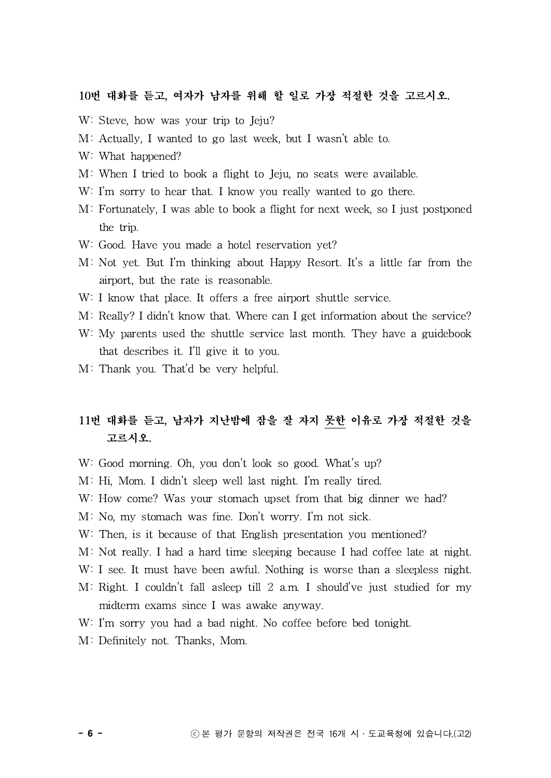#### 10번 대화를 듣고, 여자가 남자를 위해 할 일로 가장 적절한 것을 고르시오.

- W: Steve, how was your trip to Jeju?
- M: Actually, I wanted to go last week, but I wasn't able to.
- W: What happened?
- M: When I tried to book a flight to Jeju, no seats were available.
- W: I'm sorry to hear that. I know you really wanted to go there.
- M: Fortunately, I was able to book a flight for next week, so I just postponed the trip.
- W: Good. Have you made a hotel reservation yet?
- M: Not yet. But I'm thinking about Happy Resort. It's a little far from the airport, but the rate is reasonable.
- W: I know that place. It offers a free airport shuttle service.
- M: Really? I didn't know that. Where can I get information about the service?
- W: My parents used the shuttle service last month. They have a guidebook that describes it. I'll give it to you.
- M: Thank you. That'd be very helpful.

# 11번 대화를 듣고, 남자가 지난밤에 잠을 잘 자지 못한 이유로 가장 적절한 것을 고르시오.

- W: Good morning. Oh, you don't look so good. What's up?
- M: Hi, Mom. I didn't sleep well last night. I'm really tired.
- W: How come? Was your stomach upset from that big dinner we had?
- M: No, my stomach was fine. Don't worry. I'm not sick.
- W: Then, is it because of that English presentation you mentioned?
- M: Not really. I had a hard time sleeping because I had coffee late at night.
- W: I see. It must have been awful. Nothing is worse than a sleepless night.
- M: Right. I couldn't fall asleep till 2 a.m. I should've just studied for my midterm exams since I was awake anyway.
- W: I'm sorry you had a bad night. No coffee before bed tonight.
- M: Definitely not. Thanks, Mom.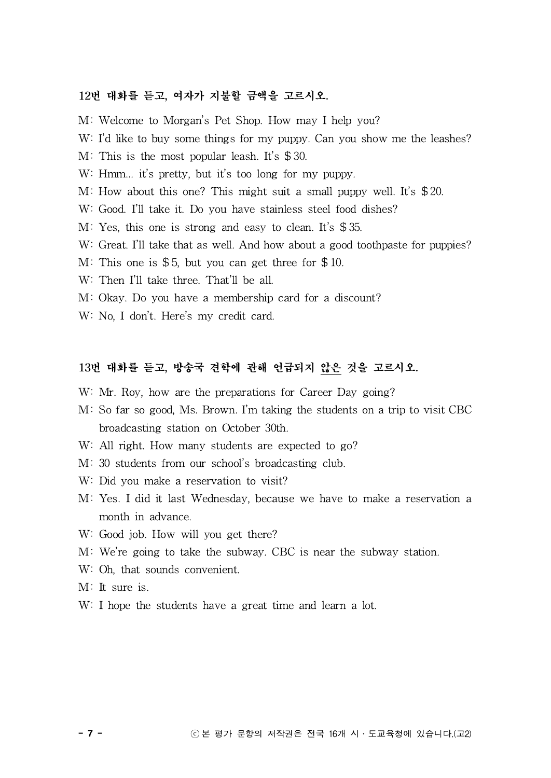#### 12번 대화를 듣고, 여자가 지불할 금액을 고르시오.

M: Welcome to Morgan's Pet Shop. How may I help you?

- W: I'd like to buy some things for my puppy. Can you show me the leashes?
- M: This is the most popular leash. It's \$ 30.
- W: Hmm... it's pretty, but it's too long for my puppy.
- M: How about this one? This might suit a small puppy well. It's \$ 20.
- W: Good. I'll take it. Do you have stainless steel food dishes?
- M: Yes, this one is strong and easy to clean. It's \$ 35.
- W: Great. I'll take that as well. And how about a good toothpaste for puppies?
- M: This one is  $$5$ , but you can get three for  $$10$ .
- W: Then I'll take three. That'll be all.
- M: Okay. Do you have a membership card for a discount?
- W: No, I don't. Here's my credit card.

### 13번 대화를 듣고, 방송국 견학에 관해 언급되지 않은 것을 고르시오.

- W: Mr. Roy, how are the preparations for Career Day going?
- M: So far so good, Ms. Brown. I'm taking the students on a trip to visit CBC broadcasting station on October 30th.
- W: All right. How many students are expected to go?
- M: 30 students from our school's broadcasting club.
- W: Did you make a reservation to visit?
- M: Yes. I did it last Wednesday, because we have to make a reservation a month in advance.
- W: Good job. How will you get there?
- M: We're going to take the subway. CBC is near the subway station.
- W: Oh, that sounds convenient.
- M: It sure is.
- W: I hope the students have a great time and learn a lot.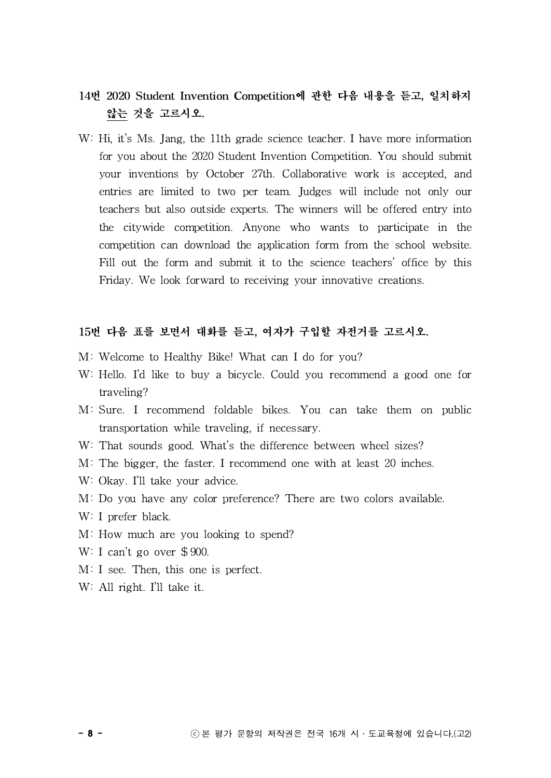# 14번 2020 Student Invention Competition에 관한 다음 내용을 듣고, 일치하지 않는 것을 고르시오.

W: Hi, it's Ms. Jang, the 11th grade science teacher. I have more information for you about the 2020 Student Invention Competition. You should submit your inventions by October 27th. Collaborative work is accepted, and entries are limited to two per team. Judges will include not only our teachers but also outside experts. The winners will be offered entry into the citywide competition. Anyone who wants to participate in the competition can download the application form from the school website. Fill out the form and submit it to the science teachers' office by this Friday. We look forward to receiving your innovative creations.

#### 15번 다음 표를 보면서 대화를 듣고, 여자가 구입할 자전거를 고르시오.

- M: Welcome to Healthy Bike! What can I do for you?
- W: Hello. I'd like to buy a bicycle. Could you recommend a good one for traveling?
- M: Sure. I recommend foldable bikes. You can take them on public transportation while traveling, if necessary.
- W: That sounds good. What's the difference between wheel sizes?
- M: The bigger, the faster. I recommend one with at least 20 inches.
- W: Okay. I'll take your advice.
- M: Do you have any color preference? There are two colors available.
- W: I prefer black.
- M: How much are you looking to spend?
- W: I can't go over \$ 900.
- M: I see. Then, this one is perfect.
- W: All right. I'll take it.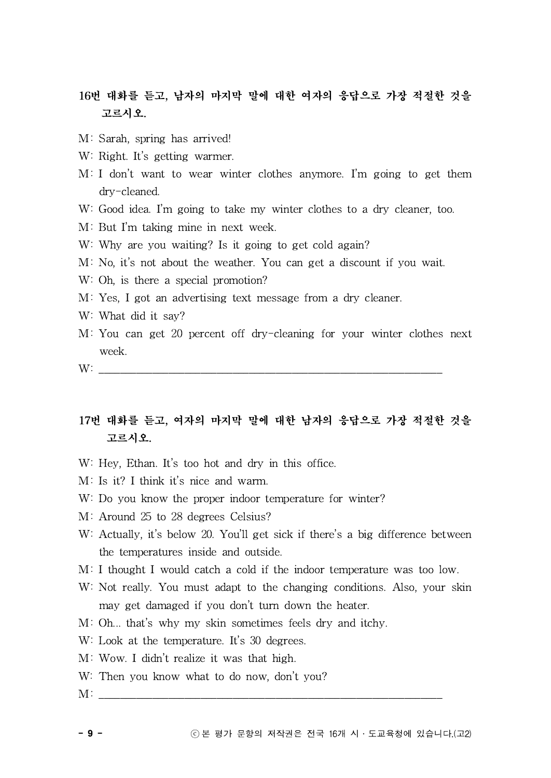# 16번 대화를 듣고, 남자의 마지막 말에 대한 여자의 응답으로 가장 적절한 것을 고르시오.

- M: Sarah, spring has arrived!
- W: Right. It's getting warmer.
- M: I don't want to wear winter clothes anymore. I'm going to get them dry-cleaned.
- W: Good idea. I'm going to take my winter clothes to a dry cleaner, too.
- M: But I'm taking mine in next week.
- W: Why are you waiting? Is it going to get cold again?
- M: No, it's not about the weather. You can get a discount if you wait.
- W: Oh, is there a special promotion?
- M: Yes, I got an advertising text message from a dry cleaner.
- W: What did it say?
- M: You can get 20 percent off dry-cleaning for your winter clothes next week.
- $W:$

# 17번 대화를 듣고, 여자의 마지막 말에 대한 남자의 응답으로 가장 적절한 것을 고르시오.

- W: Hey, Ethan. It's too hot and dry in this office.
- M: Is it? I think it's nice and warm.
- W: Do you know the proper indoor temperature for winter?
- M: Around 25 to 28 degrees Celsius?
- W: Actually, it's below 20. You'll get sick if there's a big difference between the temperatures inside and outside.
- M: I thought I would catch a cold if the indoor temperature was too low.
- W: Not really. You must adapt to the changing conditions. Also, your skin may get damaged if you don't turn down the heater.
- M: Oh... that's why my skin sometimes feels dry and itchy.
- W: Look at the temperature. It's 30 degrees.
- M: Wow. I didn't realize it was that high.
- W: Then you know what to do now, don't you?
- $M:$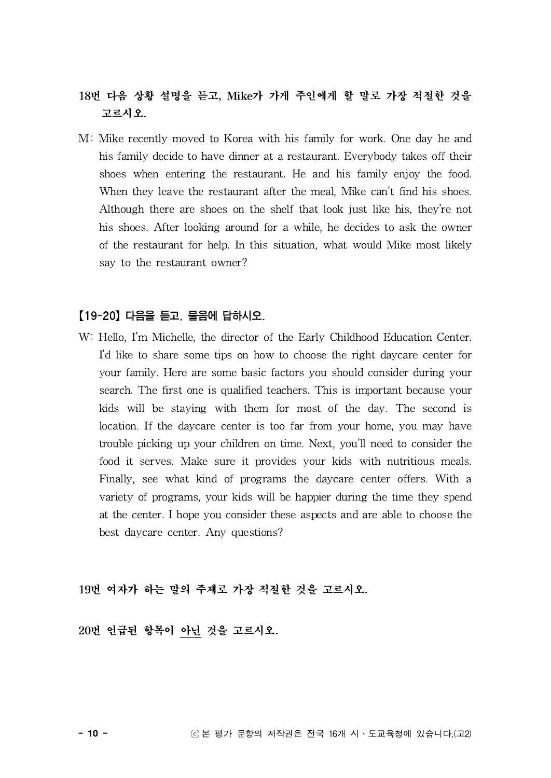# 18번 다음 상황 설명을 듣고, Mike가 가게 주인에게 할 말로 가장 적절한 것을 고르시오.

M: Mike recently moved to Korea with his family for work. One day he and his family decide to have dinner at a restaurant. Everybody takes off their shoes when entering the restaurant. He and his family enjoy the food. When they leave the restaurant after the meal, Mike can't find his shoes. Although there are shoes on the shelf that look just like his, they're not his shoes. After looking around for a while, he decides to ask the owner of the restaurant for help. In this situation, what would Mike most likely say to the restaurant owner?

### 【19-20】다음을 듣고, 물음에 답하시오.

W: Hello, I'm Michelle, the director of the Early Childhood Education Center. I'd like to share some tips on how to choose the right daycare center for your family. Here are some basic factors you should consider during your search. The first one is qualified teachers. This is important because your kids will be staying with them for most of the day. The second is location. If the daycare center is too far from your home, you may have trouble picking up your children on time. Next, you'll need to consider the food it serves. Make sure it provides your kids with nutritious meals. Finally, see what kind of programs the daycare center offers. With a variety of programs, your kids will be happier during the time they spend at the center. I hope you consider these aspects and are able to choose the best daycare center. Any questions?

19번 여자가 하는 말의 주제로 가장 적절한 것을 고르시오.

20번 언급된 항목이 아닌 것을 고르시오.